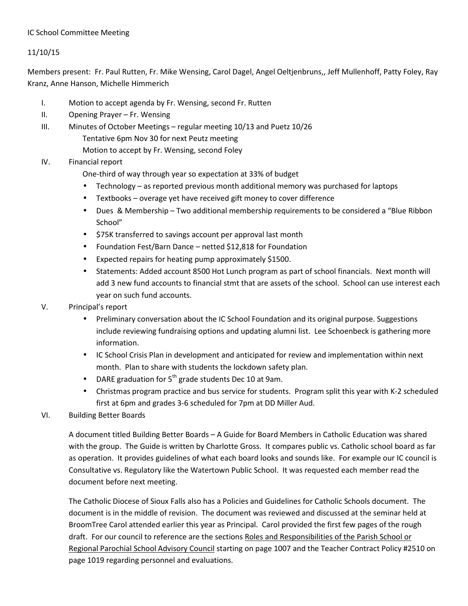## IC School Committee Meeting

# 11/10/15

Members present: Fr. Paul Rutten, Fr. Mike Wensing, Carol Dagel, Angel Oeltjenbruns,, Jeff Mullenhoff, Patty Foley, Ray Kranz, Anne Hanson, Michelle Himmerich

- I. Motion to accept agenda by Fr. Wensing, second Fr. Rutten
- II. Opening Prayer Fr. Wensing
- III. Minutes of October Meetings regular meeting 10/13 and Puetz 10/26
	- Tentative 6pm Nov 30 for next Peutz meeting
		- Motion to accept by Fr. Wensing, second Foley

## IV. Financial report

- One-third of way through year so expectation at 33% of budget
- Technology as reported previous month additional memory was purchased for laptops
- Textbooks overage yet have received gift money to cover difference
- Dues & Membership Two additional membership requirements to be considered a "Blue Ribbon School"
- \$75K transferred to savings account per approval last month
- Foundation Fest/Barn Dance netted \$12,818 for Foundation
- Expected repairs for heating pump approximately \$1500.
- Statements: Added account 8500 Hot Lunch program as part of school financials. Next month will add 3 new fund accounts to financial stmt that are assets of the school. School can use interest each year on such fund accounts.
- V. Principal's report
	- Preliminary conversation about the IC School Foundation and its original purpose. Suggestions include reviewing fundraising options and updating alumni list. Lee Schoenbeck is gathering more information.
	- IC School Crisis Plan in development and anticipated for review and implementation within next month. Plan to share with students the lockdown safety plan.
	- DARE graduation for  $5<sup>th</sup>$  grade students Dec 10 at 9am.
	- Christmas program practice and bus service for students. Program split this year with K-2 scheduled first at 6pm and grades 3-6 scheduled for 7pm at DD Miller Aud.

### VI. Building Better Boards

A document titled Building Better Boards – A Guide for Board Members in Catholic Education was shared with the group. The Guide is written by Charlotte Gross. It compares public vs. Catholic school board as far as operation. It provides guidelines of what each board looks and sounds like. For example our IC council is Consultative vs. Regulatory like the Watertown Public School. It was requested each member read the document before next meeting.

The Catholic Diocese of Sioux Falls also has a Policies and Guidelines for Catholic Schools document. The document is in the middle of revision. The document was reviewed and discussed at the seminar held at BroomTree Carol attended earlier this year as Principal. Carol provided the first few pages of the rough draft. For our council to reference are the sections Roles and Responsibilities of the Parish School or Regional Parochial School Advisory Council starting on page 1007 and the Teacher Contract Policy #2510 on page 1019 regarding personnel and evaluations.